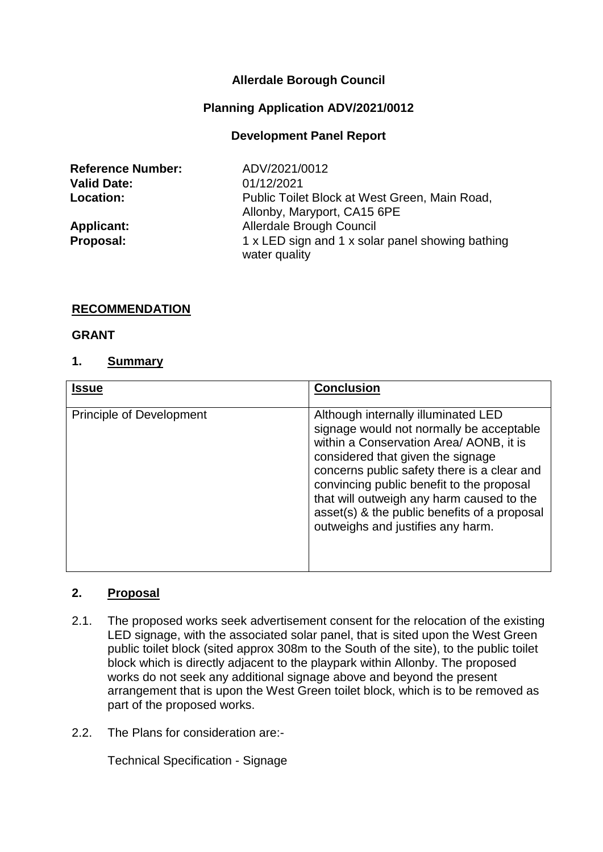# **Allerdale Borough Council**

#### **Planning Application ADV/2021/0012**

#### **Development Panel Report**

| <b>Reference Number:</b> | ADV/2021/0012                                    |
|--------------------------|--------------------------------------------------|
| <b>Valid Date:</b>       | 01/12/2021                                       |
| <b>Location:</b>         | Public Toilet Block at West Green, Main Road,    |
|                          | Allonby, Maryport, CA15 6PE                      |
| <b>Applicant:</b>        | <b>Allerdale Brough Council</b>                  |
| Proposal:                | 1 x LED sign and 1 x solar panel showing bathing |
|                          | water quality                                    |

#### **RECOMMENDATION**

#### **GRANT**

#### **1. Summary**

| <b>Issue</b>                    | <b>Conclusion</b>                                                                                                                                                                                                                                                                                                                                                                             |
|---------------------------------|-----------------------------------------------------------------------------------------------------------------------------------------------------------------------------------------------------------------------------------------------------------------------------------------------------------------------------------------------------------------------------------------------|
| <b>Principle of Development</b> | Although internally illuminated LED<br>signage would not normally be acceptable<br>within a Conservation Area/ AONB, it is<br>considered that given the signage<br>concerns public safety there is a clear and<br>convincing public benefit to the proposal<br>that will outweigh any harm caused to the<br>asset(s) & the public benefits of a proposal<br>outweighs and justifies any harm. |

#### **2. Proposal**

- 2.1. The proposed works seek advertisement consent for the relocation of the existing LED signage, with the associated solar panel, that is sited upon the West Green public toilet block (sited approx 308m to the South of the site), to the public toilet block which is directly adjacent to the playpark within Allonby. The proposed works do not seek any additional signage above and beyond the present arrangement that is upon the West Green toilet block, which is to be removed as part of the proposed works.
- 2.2. The Plans for consideration are:-

[Technical Specification -](https://allerdalebc.lightning.force.com/0693X00000X3gs6QAB) Signage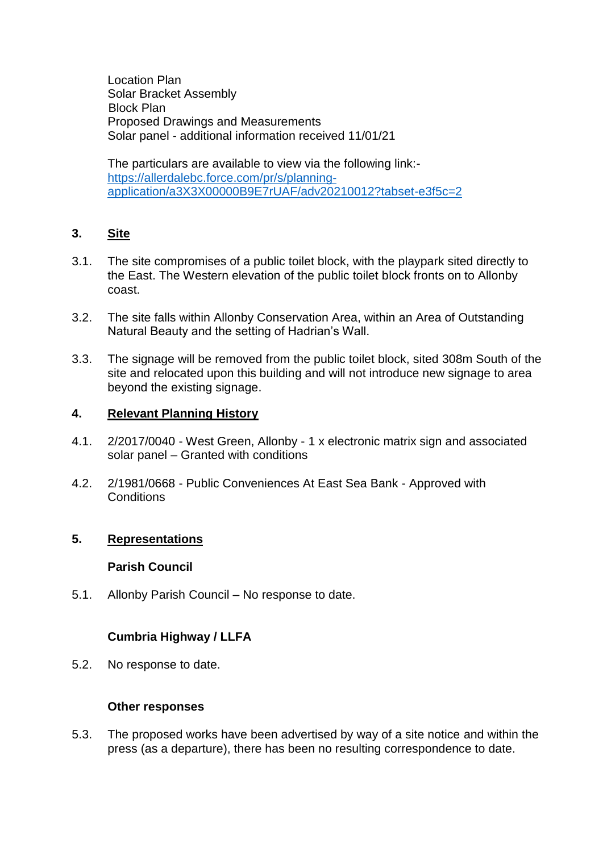[Location Plan](https://allerdalebc.lightning.force.com/0693X00000X3gsDQAR) [Solar Bracket Assembly](https://allerdalebc.lightning.force.com/0693X00000X3gs7QAB) Block Plan Proposed Drawings and Measurements Solar panel - additional information received 11/01/21

The particulars are available to view via the following link: [https://allerdalebc.force.com/pr/s/planning](https://allerdalebc.force.com/pr/s/planning-application/a3X3X00000B9E7rUAF/adv20210012?tabset-e3f5c=2)[application/a3X3X00000B9E7rUAF/adv20210012?tabset-e3f5c=2](https://allerdalebc.force.com/pr/s/planning-application/a3X3X00000B9E7rUAF/adv20210012?tabset-e3f5c=2)

# **3. Site**

- 3.1. The site compromises of a public toilet block, with the playpark sited directly to the East. The Western elevation of the public toilet block fronts on to Allonby coast.
- 3.2. The site falls within Allonby Conservation Area, within an Area of Outstanding Natural Beauty and the setting of Hadrian's Wall.
- 3.3. The signage will be removed from the public toilet block, sited 308m South of the site and relocated upon this building and will not introduce new signage to area beyond the existing signage.

# **4. Relevant Planning History**

- 4.1. 2/2017/0040 West Green, Allonby 1 x electronic matrix sign and associated solar panel – Granted with conditions
- 4.2. 2/1981/0668 Public Conveniences At East Sea Bank Approved with **Conditions**

# **5. Representations**

#### **Parish Council**

5.1. Allonby Parish Council – No response to date.

# **Cumbria Highway / LLFA**

5.2. No response to date.

#### **Other responses**

5.3. The proposed works have been advertised by way of a site notice and within the press (as a departure), there has been no resulting correspondence to date.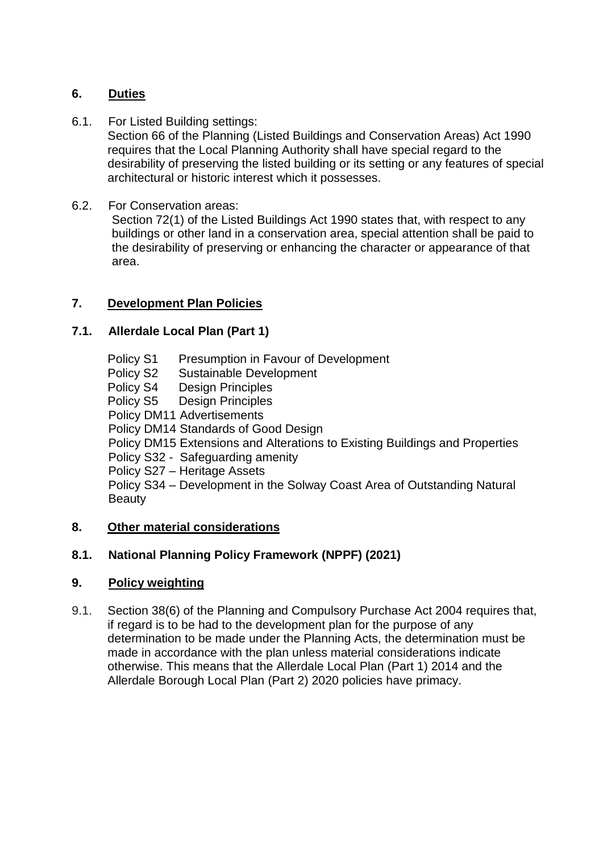# **6. Duties**

6.1. For Listed Building settings:

Section 66 of the Planning (Listed Buildings and Conservation Areas) Act 1990 requires that the Local Planning Authority shall have special regard to the desirability of preserving the listed building or its setting or any features of special architectural or historic interest which it possesses.

6.2. For Conservation areas:

Section 72(1) of the Listed Buildings Act 1990 states that, with respect to any buildings or other land in a conservation area, special attention shall be paid to the desirability of preserving or enhancing the character or appearance of that area.

# **7. Development Plan Policies**

# **7.1. Allerdale Local Plan (Part 1)**

- Policy S1 Presumption in Favour of Development
- Policy S2 Sustainable Development
- Policy S4 Design Principles
- Policy S5 Design Principles
- Policy DM11 Advertisements
- Policy DM14 Standards of Good Design
- Policy DM15 Extensions and Alterations to Existing Buildings and Properties
- Policy S32 Safeguarding amenity
- Policy S27 Heritage Assets

Policy S34 – Development in the Solway Coast Area of Outstanding Natural Beauty

# **8. Other material considerations**

# **8.1. National Planning Policy Framework (NPPF) (2021)**

# **9. Policy weighting**

9.1. Section 38(6) of the Planning and Compulsory Purchase Act 2004 requires that, if regard is to be had to the development plan for the purpose of any determination to be made under the Planning Acts, the determination must be made in accordance with the plan unless material considerations indicate otherwise. This means that the Allerdale Local Plan (Part 1) 2014 and the Allerdale Borough Local Plan (Part 2) 2020 policies have primacy.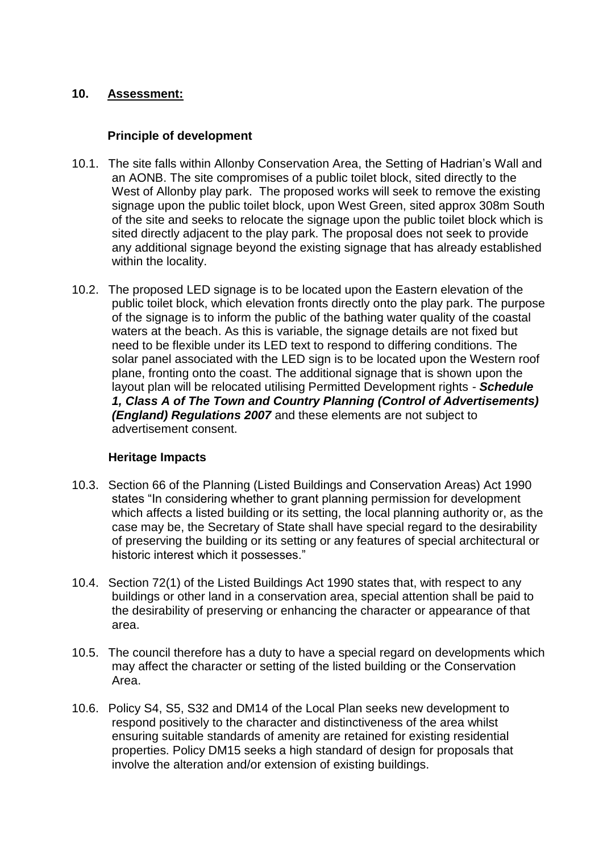### **10. Assessment:**

### **Principle of development**

- 10.1. The site falls within Allonby Conservation Area, the Setting of Hadrian's Wall and an AONB. The site compromises of a public toilet block, sited directly to the West of Allonby play park. The proposed works will seek to remove the existing signage upon the public toilet block, upon West Green, sited approx 308m South of the site and seeks to relocate the signage upon the public toilet block which is sited directly adjacent to the play park. The proposal does not seek to provide any additional signage beyond the existing signage that has already established within the locality.
- 10.2. The proposed LED signage is to be located upon the Eastern elevation of the public toilet block, which elevation fronts directly onto the play park. The purpose of the signage is to inform the public of the bathing water quality of the coastal waters at the beach. As this is variable, the signage details are not fixed but need to be flexible under its LED text to respond to differing conditions. The solar panel associated with the LED sign is to be located upon the Western roof plane, fronting onto the coast. The additional signage that is shown upon the layout plan will be relocated utilising Permitted Development rights *- Schedule 1, Class A of The Town and Country Planning (Control of Advertisements) (England) Regulations 2007* and these elements are not subject to advertisement consent.

# **Heritage Impacts**

- 10.3. Section 66 of the Planning (Listed Buildings and Conservation Areas) Act 1990 states "In considering whether to grant planning permission for development which affects a listed building or its setting, the local planning authority or, as the case may be, the Secretary of State shall have special regard to the desirability of preserving the building or its setting or any features of special architectural or historic interest which it possesses."
- 10.4. Section 72(1) of the Listed Buildings Act 1990 states that, with respect to any buildings or other land in a conservation area, special attention shall be paid to the desirability of preserving or enhancing the character or appearance of that area.
- 10.5. The council therefore has a duty to have a special regard on developments which may affect the character or setting of the listed building or the Conservation Area.
- 10.6. Policy S4, S5, S32 and DM14 of the Local Plan seeks new development to respond positively to the character and distinctiveness of the area whilst ensuring suitable standards of amenity are retained for existing residential properties. Policy DM15 seeks a high standard of design for proposals that involve the alteration and/or extension of existing buildings.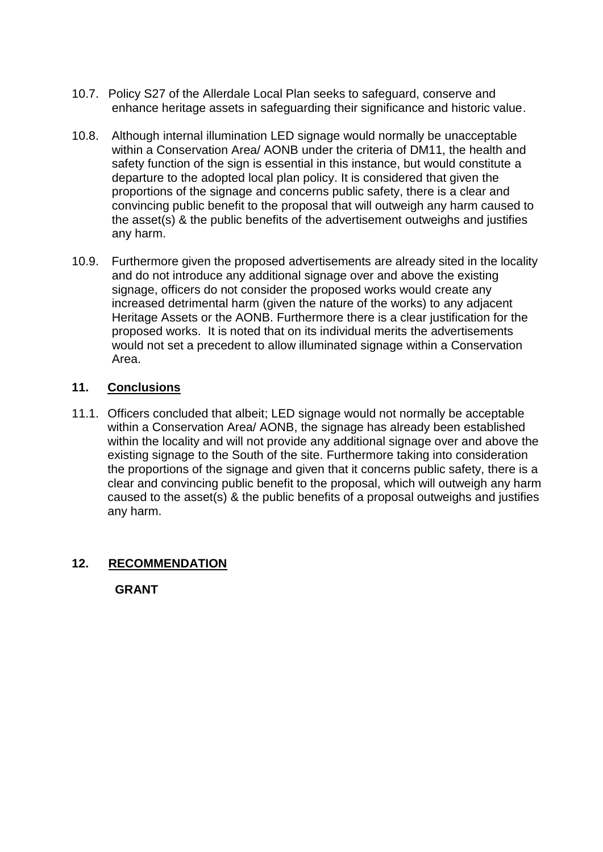- 10.7. Policy S27 of the Allerdale Local Plan seeks to safeguard, conserve and enhance heritage assets in safeguarding their significance and historic value.
- 10.8. Although internal illumination LED signage would normally be unacceptable within a Conservation Area/ AONB under the criteria of DM11, the health and safety function of the sign is essential in this instance, but would constitute a departure to the adopted local plan policy. It is considered that given the proportions of the signage and concerns public safety, there is a clear and convincing public benefit to the proposal that will outweigh any harm caused to the asset(s) & the public benefits of the advertisement outweighs and justifies any harm.
- 10.9. Furthermore given the proposed advertisements are already sited in the locality and do not introduce any additional signage over and above the existing signage, officers do not consider the proposed works would create any increased detrimental harm (given the nature of the works) to any adjacent Heritage Assets or the AONB. Furthermore there is a clear justification for the proposed works. It is noted that on its individual merits the advertisements would not set a precedent to allow illuminated signage within a Conservation Area.

### **11. Conclusions**

11.1. Officers concluded that albeit; LED signage would not normally be acceptable within a Conservation Area/ AONB, the signage has already been established within the locality and will not provide any additional signage over and above the existing signage to the South of the site. Furthermore taking into consideration the proportions of the signage and given that it concerns public safety, there is a clear and convincing public benefit to the proposal, which will outweigh any harm caused to the asset(s) & the public benefits of a proposal outweighs and justifies any harm.

# **12. RECOMMENDATION**

**GRANT**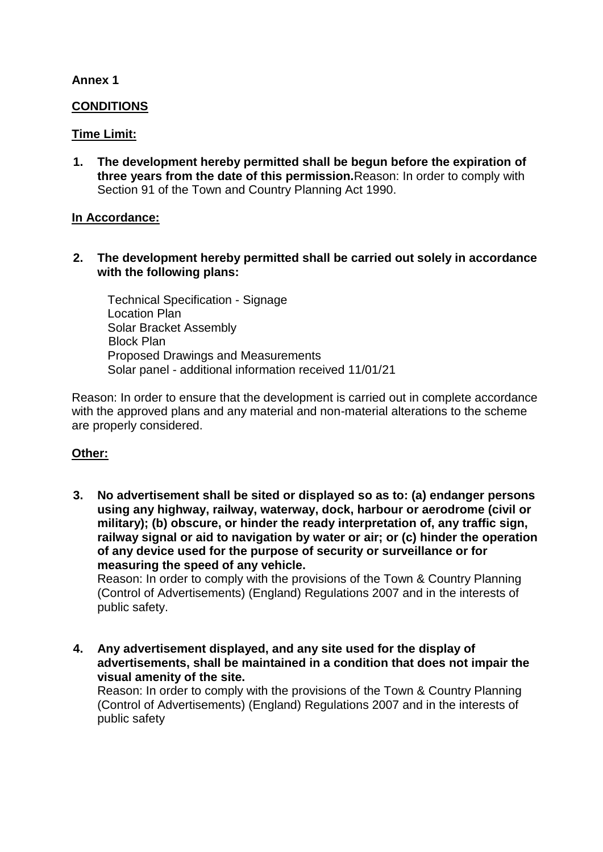#### **Annex 1**

### **CONDITIONS**

### **Time Limit:**

**1. The development hereby permitted shall be begun before the expiration of three years from the date of this permission.**Reason: In order to comply with Section 91 of the Town and Country Planning Act 1990.

#### **In Accordance:**

**2. The development hereby permitted shall be carried out solely in accordance with the following plans:**

[Technical Specification -](https://allerdalebc.lightning.force.com/0693X00000X3gs6QAB) Signage [Location Plan](https://allerdalebc.lightning.force.com/0693X00000X3gsDQAR) [Solar Bracket Assembly](https://allerdalebc.lightning.force.com/0693X00000X3gs7QAB) Block Plan Proposed Drawings and Measurements Solar panel - additional information received 11/01/21

Reason: In order to ensure that the development is carried out in complete accordance with the approved plans and any material and non-material alterations to the scheme are properly considered.

# **Other:**

**3. No advertisement shall be sited or displayed so as to: (a) endanger persons using any highway, railway, waterway, dock, harbour or aerodrome (civil or military); (b) obscure, or hinder the ready interpretation of, any traffic sign, railway signal or aid to navigation by water or air; or (c) hinder the operation of any device used for the purpose of security or surveillance or for measuring the speed of any vehicle.**

Reason: In order to comply with the provisions of the Town & Country Planning (Control of Advertisements) (England) Regulations 2007 and in the interests of public safety.

**4. Any advertisement displayed, and any site used for the display of advertisements, shall be maintained in a condition that does not impair the visual amenity of the site.** 

Reason: In order to comply with the provisions of the Town & Country Planning (Control of Advertisements) (England) Regulations 2007 and in the interests of public safety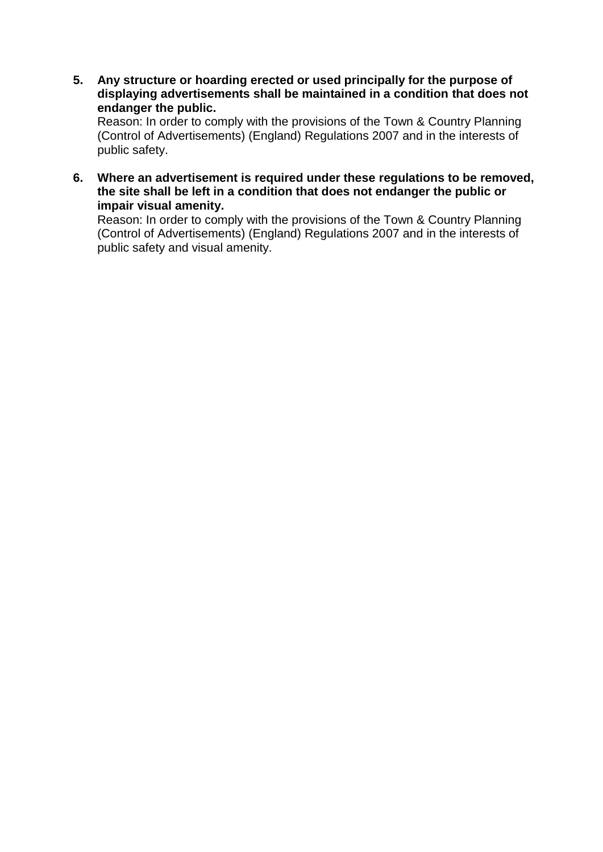**5. Any structure or hoarding erected or used principally for the purpose of displaying advertisements shall be maintained in a condition that does not endanger the public.** 

Reason: In order to comply with the provisions of the Town & Country Planning (Control of Advertisements) (England) Regulations 2007 and in the interests of public safety.

**6. Where an advertisement is required under these regulations to be removed, the site shall be left in a condition that does not endanger the public or impair visual amenity.** 

Reason: In order to comply with the provisions of the Town & Country Planning (Control of Advertisements) (England) Regulations 2007 and in the interests of public safety and visual amenity.